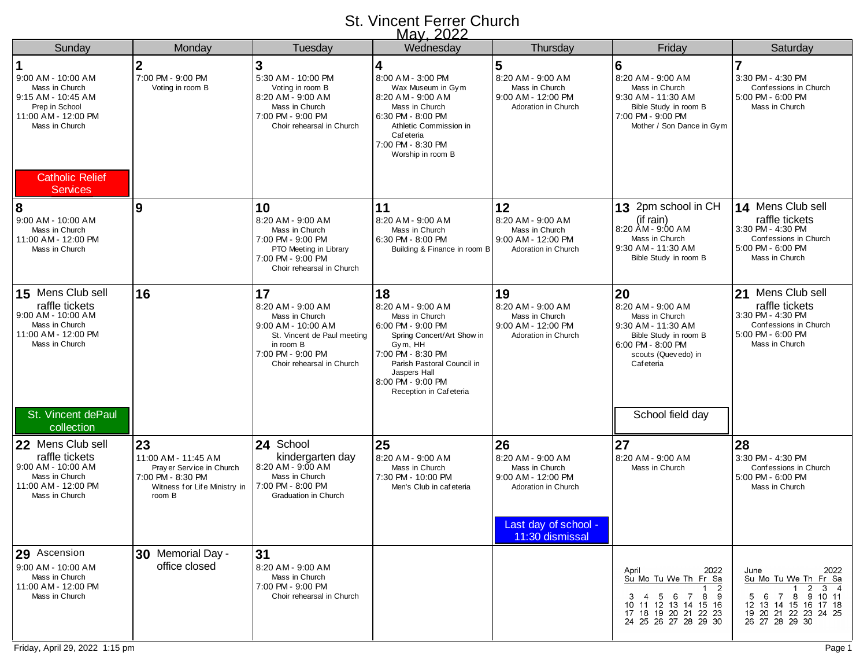## St. Vincent Ferrer Church May, 2022

|                                                                                                                                                                    |                                                                                                                       |                                                                                                                                                                 | <u>iviay, ZUZZ</u>                                                                                                                                                                                                        |                                                                                                                                   |                                                                                                                                                                       |                                                                                                                                                            |
|--------------------------------------------------------------------------------------------------------------------------------------------------------------------|-----------------------------------------------------------------------------------------------------------------------|-----------------------------------------------------------------------------------------------------------------------------------------------------------------|---------------------------------------------------------------------------------------------------------------------------------------------------------------------------------------------------------------------------|-----------------------------------------------------------------------------------------------------------------------------------|-----------------------------------------------------------------------------------------------------------------------------------------------------------------------|------------------------------------------------------------------------------------------------------------------------------------------------------------|
| Sunday                                                                                                                                                             | Monday                                                                                                                | Tuesday                                                                                                                                                         | Wednesday                                                                                                                                                                                                                 | Thursday                                                                                                                          | Friday                                                                                                                                                                | Saturday                                                                                                                                                   |
| 9:00 AM - 10:00 AM<br>Mass in Church<br>9:15 AM - 10:45 AM<br>Prep in School<br>11:00 AM - 12:00 PM<br>Mass in Church<br><b>Catholic Relief</b><br><b>Services</b> | $\overline{2}$<br>7:00 PM - 9:00 PM<br>Voting in room B                                                               | 3<br>5:30 AM - 10:00 PM<br>Voting in room B<br>8:20 AM - 9:00 AM<br>Mass in Church<br>7:00 PM - 9:00 PM<br>Choir rehearsal in Church                            | 4<br>8:00 AM - 3:00 PM<br>Wax Museum in Gym<br>8:20 AM - 9:00 AM<br>Mass in Church<br>6:30 PM - 8:00 PM<br>Athletic Commission in<br>Caf eteria<br>7:00 PM - 8:30 PM<br>Worship in room B                                 | 5<br>8:20 AM - 9:00 AM<br>Mass in Church<br>9:00 AM - 12:00 PM<br>Adoration in Church                                             | 6<br>8:20 AM - 9:00 AM<br>Mass in Church<br>9:30 AM - 11:30 AM<br>Bible Study in room B<br>7:00 PM - 9:00 PM<br>Mother / Son Dance in Gym                             | 3:30 PM - 4:30 PM<br>Confessions in Church<br>5:00 PM - 6:00 PM<br>Mass in Church                                                                          |
| 8<br>9:00 AM - 10:00 AM<br>Mass in Church<br>11:00 AM - 12:00 PM<br>Mass in Church                                                                                 | 9                                                                                                                     | 10<br>8:20 AM - 9:00 AM<br>Mass in Church<br>7:00 PM - 9:00 PM<br>PTO Meeting in Library<br>7:00 PM - 9:00 PM<br>Choir rehearsal in Church                      | 11<br>8:20 AM - 9:00 AM<br>Mass in Church<br>6:30 PM - 8:00 PM<br>Building & Finance in room B                                                                                                                            | 12<br>8:20 AM - 9:00 AM<br>Mass in Church<br>9:00 AM - 12:00 PM<br>Adoration in Church                                            | 13 2pm school in CH<br>(if rain)<br>8:20 AM - 9:00 AM<br>Mass in Church<br>9:30 AM - 11:30 AM<br>Bible Study in room B                                                | 14 Mens Club sell<br>raffle tickets<br>3:30 PM - 4:30 PM<br>Confessions in Church<br>5:00 PM - 6:00 PM<br>Mass in Church                                   |
| 15 Mens Club sell<br>raffle tickets<br>9:00 AM - 10:00 AM<br>Mass in Church<br>11:00 AM - 12:00 PM<br>Mass in Church<br>St. Vincent dePaul                         | 16                                                                                                                    | 17<br>8:20 AM - 9:00 AM<br>Mass in Church<br>$9:00$ AM - 10:00 AM<br>St. Vincent de Paul meeting<br>in room B<br>7:00 PM - 9:00 PM<br>Choir rehearsal in Church | 18<br>8:20 AM - 9:00 AM<br>Mass in Church<br>6:00 PM - 9:00 PM<br>Spring Concert/Art Show in<br>Gym, HH<br>7:00 PM - 8:30 PM<br>Parish Pastoral Council in<br>Jaspers Hall<br>8:00 PM - 9:00 PM<br>Reception in Cafeteria | 19<br>8:20 AM - 9:00 AM<br>Mass in Church<br>9:00 AM - 12:00 PM<br>Adoration in Church                                            | 20<br>8:20 AM - 9:00 AM<br>Mass in Church<br>9:30 AM - 11:30 AM<br>Bible Study in room B<br>6:00 PM - 8:00 PM<br>scouts (Quevedo) in<br>Cafeteria<br>School field day | 21 Mens Club sell<br>raffle tickets<br>3:30 PM - 4:30 PM<br>Confessions in Church<br>5:00 PM - 6:00 PM<br>Mass in Church                                   |
| collection<br>22 Mens Club sell<br>raffle tickets<br>9:00 AM - 10:00 AM<br>Mass in Church<br>11:00 AM - 12:00 PM<br>Mass in Church                                 | 23<br>11:00 AM - 11:45 AM<br>Pray er Service in Church<br>7:00 PM - 8:30 PM<br>Witness for Life Ministry in<br>room B | 24 School<br>kindergarten day<br>8:20 AM - 9:00 AM<br>Mass in Church<br>7:00 PM - 8:00 PM<br><b>Graduation in Church</b>                                        | 25<br>8:20 AM - 9:00 AM<br>Mass in Church<br>7:30 PM - 10:00 PM<br>Men's Club in cafeteria                                                                                                                                | 26<br>8:20 AM - 9:00 AM<br>Mass in Church<br>9:00 AM - 12:00 PM<br>Adoration in Church<br>Last day of school -<br>11:30 dismissal | 27<br>8:20 AM - 9:00 AM<br>Mass in Church                                                                                                                             | 28<br>3:30 PM - 4:30 PM<br>Confessions in Church<br>5:00 PM - 6:00 PM<br>Mass in Church                                                                    |
| 29 Ascension<br>9:00 AM - 10:00 AM<br>Mass in Church<br>11:00 AM - 12:00 PM<br>Mass in Church                                                                      | 30 Memorial Day -<br>office closed                                                                                    | 31<br>8:20 AM - 9:00 AM<br>Mass in Church<br>7:00 PM - 9:00 PM<br>Choir rehearsal in Church                                                                     |                                                                                                                                                                                                                           |                                                                                                                                   | 2022<br>April<br>Su Mo Tu We Th Fr Sa<br>$\overline{2}$<br>3 4 5 6 7 8 9<br>10 11 12 13 14 15 16<br>17 18 19 20 21 22 23<br>24 25 26 27 28 29 30                      | 2022<br>June<br>Su Mo Tu We Th Fr Sa<br>$\overline{2}$<br>$3 \quad 4$<br>5 6 7 8 9 10 11<br>12 13 14 15 16 17 18<br>19 20 21 22 23 24 25<br>26 27 28 29 30 |